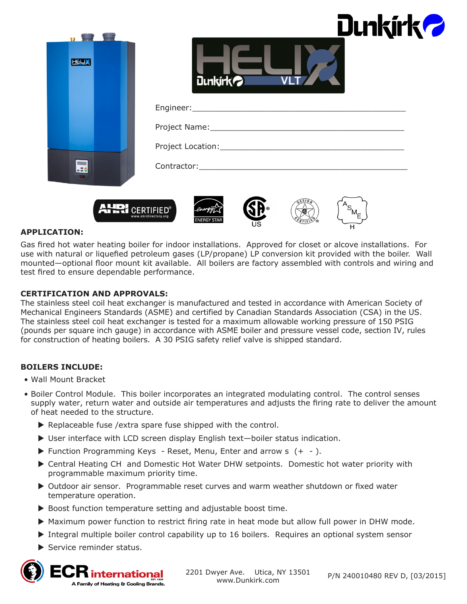| <b>HELLA</b>   | <b>Dunkirk<sup>2</sup></b><br>Dunkirk <sup>2</sup> |
|----------------|----------------------------------------------------|
|                |                                                    |
|                |                                                    |
|                |                                                    |
|                |                                                    |
| $\blacksquare$ | QESIG                                              |

### **APPLICATION:**

Gas fired hot water heating boiler for indoor installations. Approved for closet or alcove installations. For use with natural or liquefied petroleum gases (LP/propane) LP conversion kit provided with the boiler. Wall mounted—optional floor mount kit available. All boilers are factory assembled with controls and wiring and test fired to ensure dependable performance.

#### **CERTIFICATION AND APPROVALS:**

**AFRICERTIFIED®** 

The stainless steel coil heat exchanger is manufactured and tested in accordance with American Society of Mechanical Engineers Standards (ASME) and certified by Canadian Standards Association (CSA) in the US. The stainless steel coil heat exchanger is tested for a maximum allowable working pressure of 150 PSIG (pounds per square inch gauge) in accordance with ASME boiler and pressure vessel code, section IV, rules for construction of heating boilers. A 30 PSIG safety relief valve is shipped standard.

### **BOILERS INCLUDE:**

- Wall Mount Bracket
- Boiler Control Module. This boiler incorporates an integrated modulating control. The control senses supply water, return water and outside air temperatures and adjusts the firing rate to deliver the amount of heat needed to the structure.
	- $\triangleright$  Replaceable fuse /extra spare fuse shipped with the control.
	- $\triangleright$  User interface with LCD screen display English text—boiler status indication.
	- $\blacktriangleright$  Function Programming Keys Reset, Menu, Enter and arrow s  $(+ -).$
	- ▶ Central Heating CH and Domestic Hot Water DHW setpoints. Domestic hot water priority with programmable maximum priority time.
	- ▶ Outdoor air sensor. Programmable reset curves and warm weather shutdown or fixed water temperature operation.
	- $\triangleright$  Boost function temperature setting and adjustable boost time.
	- $\blacktriangleright$  Maximum power function to restrict firing rate in heat mode but allow full power in DHW mode.
	- $\triangleright$  Integral multiple boiler control capability up to 16 boilers. Requires an optional system sensor
	- $\blacktriangleright$  Service reminder status.



2201 Dwyer Ave. Utica, NY 13501 www.Dunkirk.com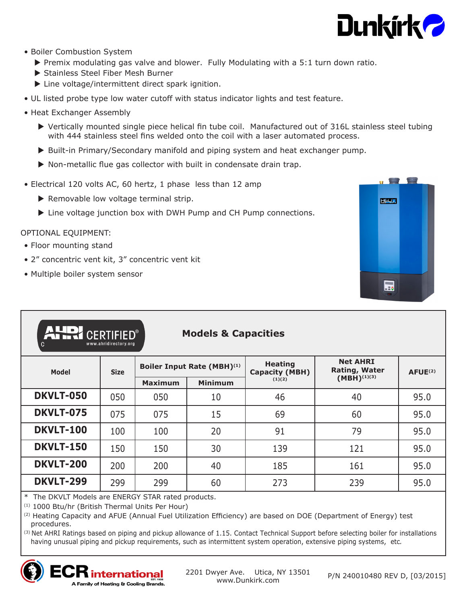

- Boiler Combustion System
	- $\triangleright$  Premix modulating gas valve and blower. Fully Modulating with a 5:1 turn down ratio.
	- Stainless Steel Fiber Mesh Burner
	- $\blacktriangleright$  Line voltage/intermittent direct spark ignition.
- UL listed probe type low water cutoff with status indicator lights and test feature.
- Heat Exchanger Assembly
	- $\triangleright$  Vertically mounted single piece helical fin tube coil. Manufactured out of 316L stainless steel tubing with 444 stainless steel fins welded onto the coil with a laser automated process.
	- ▶ Built-in Primary/Secondary manifold and piping system and heat exchanger pump.
	- $\triangleright$  Non-metallic flue gas collector with built in condensate drain trap.
- Electrical 120 volts AC, 60 hertz, 1 phase less than 12 amp
	- $\blacktriangleright$  Removable low voltage terminal strip.
	- $\blacktriangleright$  Line voltage junction box with DWH Pump and CH Pump connections.

## OPTIONAL EQUIPMENT:

- Floor mounting stand
- 2" concentric vent kit, 3" concentric vent kit
- Multiple boiler system sensor



| <b>AHDI CERTIFIED®</b><br><b>Models &amp; Capacities</b><br>www.ahridirectory.org<br>C |             |                            |                |                                         |                                         |               |
|----------------------------------------------------------------------------------------|-------------|----------------------------|----------------|-----------------------------------------|-----------------------------------------|---------------|
| <b>Model</b>                                                                           | <b>Size</b> | Boiler Input Rate (MBH)(1) |                | <b>Heating</b><br><b>Capacity (MBH)</b> | <b>Net AHRI</b><br><b>Rating, Water</b> | $A$ FUE $(2)$ |
|                                                                                        |             | <b>Maximum</b>             | <b>Minimum</b> | (1)(2)                                  | $(MBH)^{(1)(3)}$                        |               |
| <b>DKVLT-050</b>                                                                       | 050         | 050                        | 10             | 46                                      | 40                                      | 95.0          |
| <b>DKVLT-075</b>                                                                       | 075         | 075                        | 15             | 69                                      | 60                                      | 95.0          |
| <b>DKVLT-100</b>                                                                       | 100         | 100                        | 20             | 91                                      | 79                                      | 95.0          |
| <b>DKVLT-150</b>                                                                       | 150         | 150                        | 30             | 139                                     | 121                                     | 95.0          |
| <b>DKVLT-200</b>                                                                       | 200         | 200                        | 40             | 185                                     | 161                                     | 95.0          |
| <b>DKVLT-299</b>                                                                       | 299         | 299                        | 60             | 273                                     | 239                                     | 95.0          |

\* The DKVLT Models are ENERGY STAR rated products.

(1) 1000 Btu/hr (British Thermal Units Per Hour)

 $\mathsf{ECR}$  international A Family of Heating & Cooling Brands.

(2) Heating Capacity and AFUE (Annual Fuel Utilization Efficiency) are based on DOE (Department of Energy) test procedures.

<sup>(3)</sup> Net AHRI Ratings based on piping and pickup allowance of 1.15. Contact Technical Support before selecting boiler for installations having unusual piping and pickup requirements, such as intermittent system operation, extensive piping systems, etc*.*

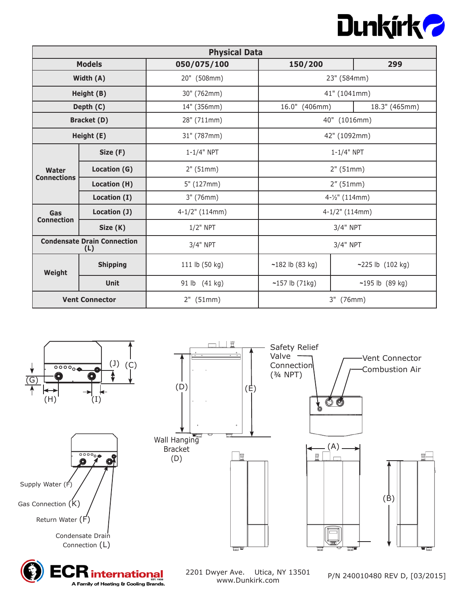

| <b>Physical Data</b> |                                           |                   |                   |                      |  |
|----------------------|-------------------------------------------|-------------------|-------------------|----------------------|--|
| <b>Models</b>        |                                           | 050/075/100       | 150/200           | 299                  |  |
| Width (A)            |                                           | 20" (508mm)       | 23" (584mm)       |                      |  |
|                      | Height (B)                                | 30" (762mm)       | 41" (1041mm)      |                      |  |
|                      | Depth (C)                                 | 14" (356mm)       | 16.0" (406mm)     | 18.3" (465mm)        |  |
|                      | <b>Bracket (D)</b>                        | 28" (711mm)       | 40" (1016mm)      |                      |  |
|                      | Height (E)                                | 31" (787mm)       | 42" (1092mm)      |                      |  |
| Water                | Size (F)                                  | $1 - 1/4"$ NPT    |                   | $1 - 1/4"$ NPT       |  |
|                      | Location (G)                              | 2" (51mm)         | 2" (51mm)         |                      |  |
| <b>Connections</b>   | Location (H)                              | 5" (127mm)        | 2''(51mm)         |                      |  |
|                      | Location (I)                              | 3" (76mm)         | 4-1/2" (114mm)    |                      |  |
| Gas                  | Location (J)                              | $4-1/2$ " (114mm) |                   | $4-1/2$ " (114mm)    |  |
| <b>Connection</b>    | Size (K)                                  | $1/2$ " NPT       |                   | 3/4" NPT             |  |
|                      | <b>Condensate Drain Connection</b><br>(L) | 3/4" NPT          | 3/4" NPT          |                      |  |
| Weight               | <b>Shipping</b>                           | 111 lb (50 kg)    | $~182$ lb (83 kg) | $-225$ lb $(102$ kg) |  |
|                      | <b>Unit</b>                               | 91 lb (41 kg)     | $~157$ lb (71kg)  | $~195$ lb (89 kg)    |  |
|                      | <b>Vent Connector</b>                     | 2" (51mm)         | 3" (76mm)         |                      |  |





2201 Dwyer Ave. Utica, NY 13501 www.Dunkirk.com

P/N 240010480 REV D, [03/2015]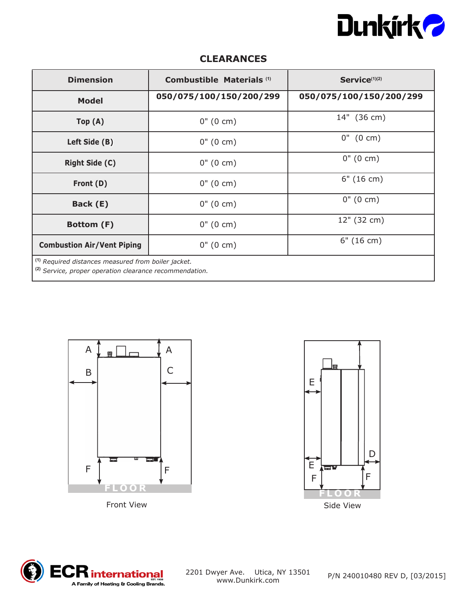

# **CLEARANCES**

| <b>Dimension</b>                                                                                                                     | Combustible Materials <sup>(1)</sup> | Service(1)(2)           |  |  |
|--------------------------------------------------------------------------------------------------------------------------------------|--------------------------------------|-------------------------|--|--|
| <b>Model</b>                                                                                                                         | 050/075/100/150/200/299              | 050/075/100/150/200/299 |  |  |
| Top(A)                                                                                                                               | $0''(0 \text{ cm})$                  | 14" (36 cm)             |  |  |
| Left Side (B)                                                                                                                        | $0''(0 \text{ cm})$                  | $0''$ (0 cm)            |  |  |
| <b>Right Side (C)</b>                                                                                                                | $0''(0 \text{ cm})$                  | $0''(0 \text{ cm})$     |  |  |
| Front (D)                                                                                                                            | $0''(0 \text{ cm})$                  | 6" (16 cm)              |  |  |
| Back (E)                                                                                                                             | $0''(0 \text{ cm})$                  | $0''(0 \text{ cm})$     |  |  |
| Bottom (F)                                                                                                                           | $0''(0 \text{ cm})$                  | 12" (32 cm)             |  |  |
| <b>Combustion Air/Vent Piping</b>                                                                                                    | $0''(0 \text{ cm})$                  | 6" (16 cm)              |  |  |
| <sup>(1)</sup> Required distances measured from boiler jacket.<br><sup>(2)</sup> Service, proper operation clearance recommendation. |                                      |                         |  |  |





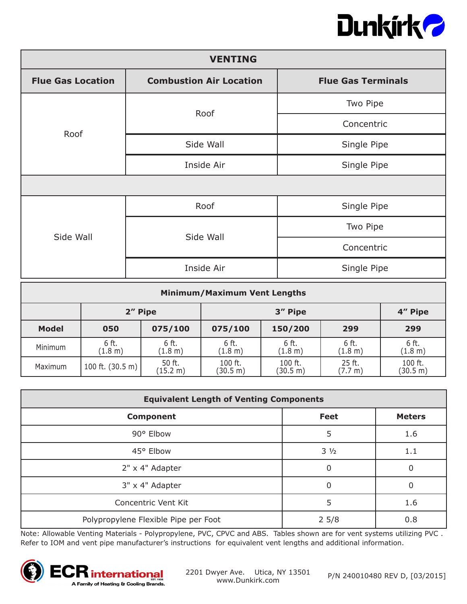

| <b>VENTING</b>           |                                |                           |  |  |  |
|--------------------------|--------------------------------|---------------------------|--|--|--|
| <b>Flue Gas Location</b> | <b>Combustion Air Location</b> | <b>Flue Gas Terminals</b> |  |  |  |
| Roof                     | Roof                           | Two Pipe                  |  |  |  |
|                          |                                | Concentric                |  |  |  |
|                          | Side Wall                      | Single Pipe               |  |  |  |
|                          | Inside Air                     | Single Pipe               |  |  |  |
|                          |                                |                           |  |  |  |
| Side Wall                | Roof                           | Single Pipe               |  |  |  |
|                          | Side Wall                      | Two Pipe                  |  |  |  |
|                          |                                | Concentric                |  |  |  |
|                          | Inside Air                     | Single Pipe               |  |  |  |

| <b>Minimum/Maximum Vent Lengths</b> |                            |                    |                     |                     |                   |                     |
|-------------------------------------|----------------------------|--------------------|---------------------|---------------------|-------------------|---------------------|
|                                     | 2" Pipe                    |                    | 3" Pipe             |                     |                   | 4" Pipe             |
| <b>Model</b>                        | 050                        | 075/100            | 075/100             | 150/200             | 299               | 299                 |
| Minimum                             | 6 ft.<br>(1.8 m)           | 6 ft.<br>(1.8 m)   | 6 ft.<br>(1.8 m)    | 6 ft.<br>(1.8 m)    | 6 ft.<br>(1.8 m)  | 6 ft.<br>(1.8 m)    |
| Maximum                             | 100 ft. $(30.5 \text{ m})$ | 50 ft.<br>(15.2 m) | 100 ft.<br>(30.5 m) | 100 ft.<br>(30.5 m) | 25 ft.<br>(7.7 m) | 100 ft.<br>(30.5 m) |

| <b>Equivalent Length of Venting Components</b> |                |               |  |  |
|------------------------------------------------|----------------|---------------|--|--|
| <b>Component</b>                               | <b>Feet</b>    | <b>Meters</b> |  |  |
| 90° Elbow                                      | 5              | 1.6           |  |  |
| 45° Elbow                                      | $3\frac{1}{2}$ | 1.1           |  |  |
| 2" x 4" Adapter                                | 0              |               |  |  |
| 3" x 4" Adapter                                | O              | O             |  |  |
| Concentric Vent Kit                            | 5              | 1.6           |  |  |
| Polypropylene Flexible Pipe per Foot           | 25/8           | 0.8           |  |  |

Note: Allowable Venting Materials - Polypropylene, PVC, CPVC and ABS. Tables shown are for vent systems utilizing PVC . Refer to IOM and vent pipe manufacturer's instructions for equivalent vent lengths and additional information.